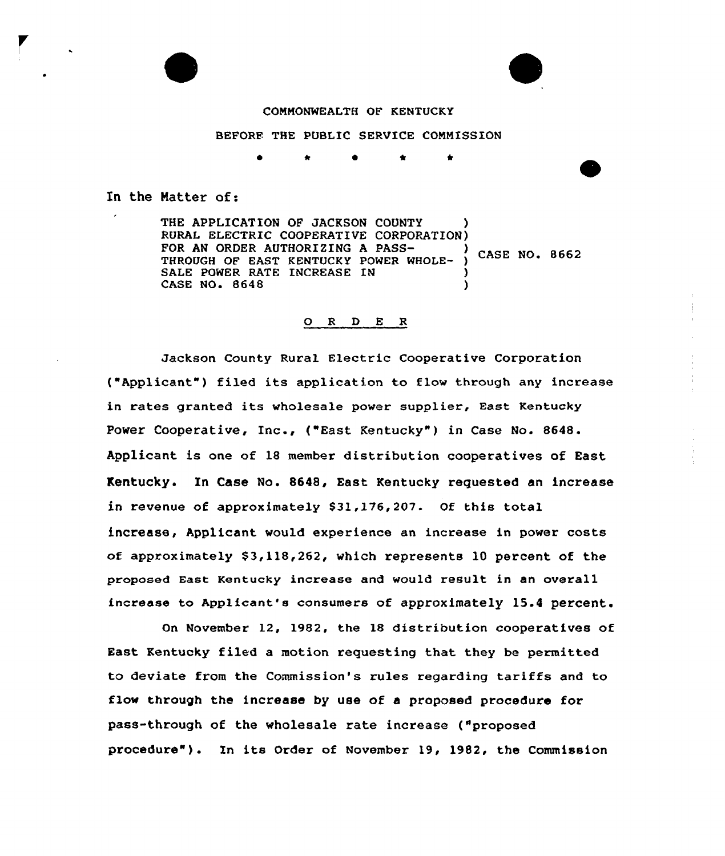



#### COMMONWEALTH OF KENTUCKY

#### BEFORE THE PUBLIC SERVICE COMMISSION

\* \*

In the Matter of:

THE APPLICATION OF JACKSON COUNTY RURAL ELECTRIC COOPERATIVE CORPORATION)<br>FOR AN ORDER AUTHORIZING A PASS-FOR AN ORDER AUTHORIZING A PASS-<br>THROUGH OF EAST KENTUCKY POWER WHOLE- ) CASE NO. 8662 SALE POWER RATE INCREASE IN CASE NO. 8648 )

## 0 <sup>R</sup> <sup>D</sup> E <sup>R</sup>

Jackson County Rural Electric Cooperative Corporation ("Applicant") filed its application to flow through any increase in rates granted its wholesale power supplier, East Kentucky Power Cooperative, Inc., ("East Kentucky" ) in Case No. 8648. Applicant is one of 18 member distribution cooperatives of East Kentucky. In Case No. 8648, East Kentucky requested an increase in revenue of approximately \$31,176,207. Of this total increase, Applicant would experience an increase in power costs of approximately  $$3,118,262$ , which represents 10 percent of the proposed East Kentucky increase and would result in an overall increase to Applicant's consumers of approximately 15.4 percent.

On November 12, 1982, the 18 distribution cooperatives of East Kentucky filed a motion requesting that they be permitted to deviate from the Commission's rules regarding tariffs and to flow through the increase by use of a proposed procedure for pass-through of the wholesale rate increase ("proposed procedure" ). In its Order of November 19, 1982, the Commission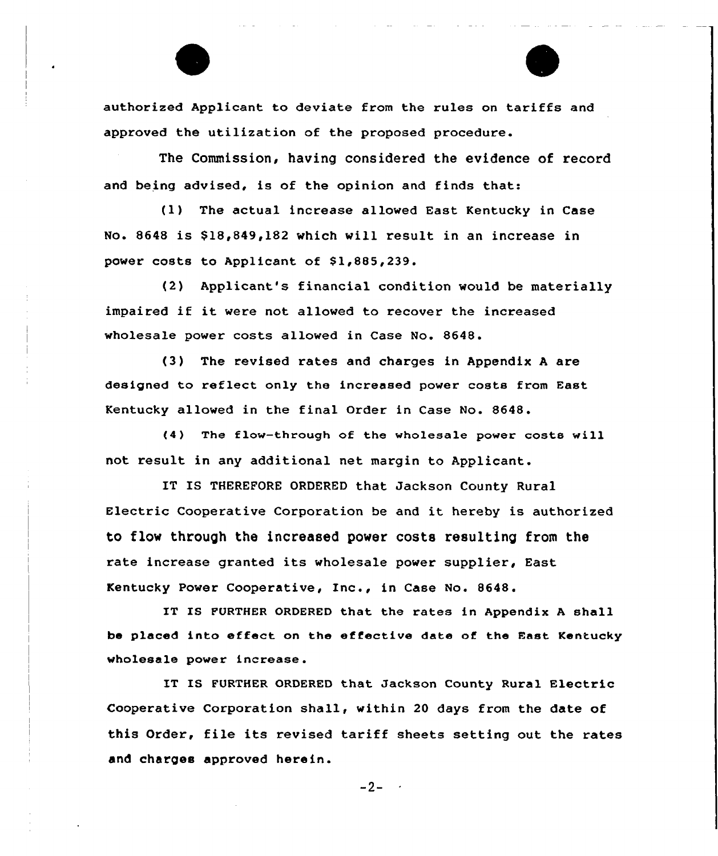authorized Applicant to deviate from the rules on tariffs and approved the utilization of the proposed procedure.

The Commission, having considered the evidence of record and being advised, is of the opinion and finds that:

(1) The actual increase allowed East Kentucky in Case No. 8648 is \$18,849,182 which will result in an increase in power costs to Applicant of \$1,885,239.

(2) Applicant's financial condition would be materially impaired if it were not allowed to recover the increased wholesale power costs allowed in Case No. 8648.

(3) The revised rates and charges in Appendix <sup>A</sup> are designed to reflect only the increased power costs from East Kentucky allowed in the final Order in Case No. 8648.

(4) The flow-through of the wholesale power costs will not result in any additional net margin to Applicant.

IT IS THEREFORE ORDERED that Jackson County Rural Electric Cooperative Corporation be and it hereby is authorized to flow through the increased power costs resulting from the rate increase granted its wholesale power supplier, East Kentucky Power Cooperative, Inc., in Case No. 8648.

IT IS FURTHER ORDERED that the rates in Appendix <sup>A</sup> shall be placed into effect on the effective date of the East Kentucky wholesale power increase.

IT IS FURTHER ORDERED that Jackson County Rural Electric Cooperative Corporation shall, within 20 days from the date of this Order, file its revised tariff sheets setting out the rates and charges approved herein.

 $-2 - 4$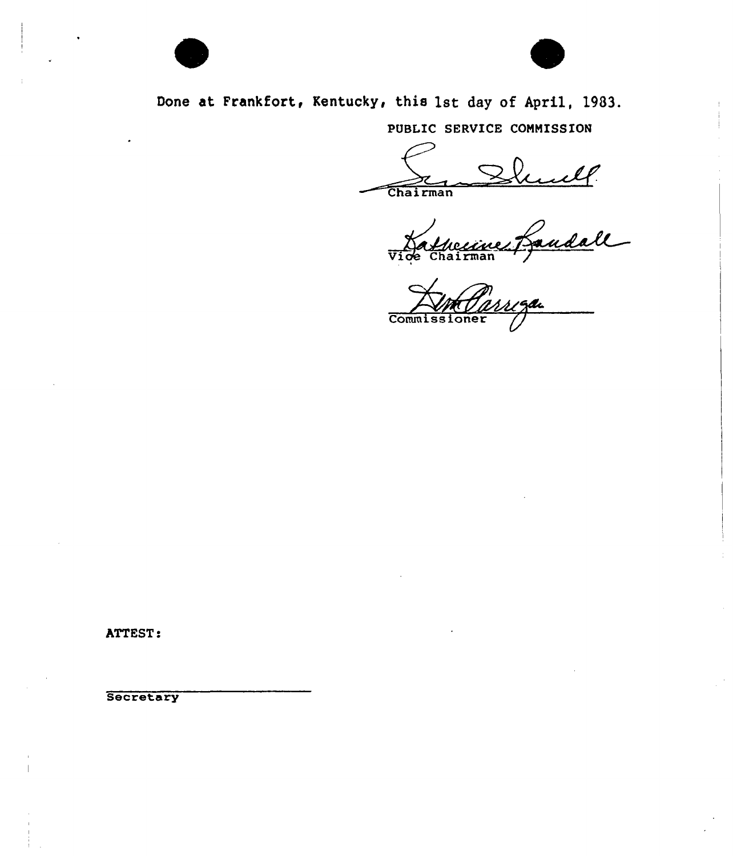

PUBLIC SERVICE COMMISSION

Chairman

unell.<br>Gandall rman

Commissioner

ATTEST:

Secretary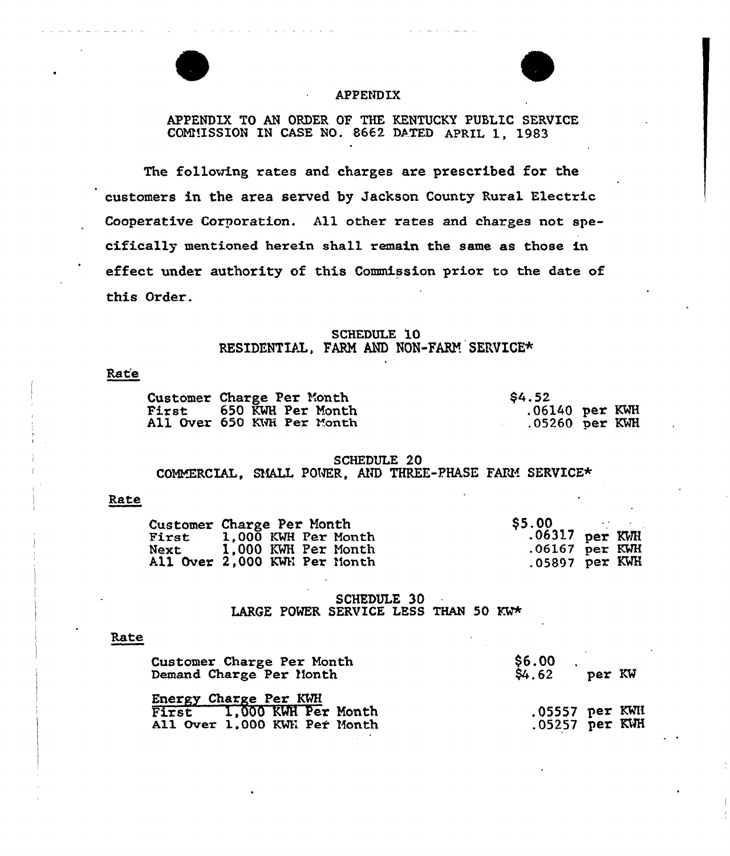

# APPENDIX

APPENDIX TO AN ORDER OP THE KENTUCKY PUBLIC SERVICE COMMISSION IN CASE NO. 8662 DATED APRIL 1, 1983

The following rates and charges are prescribed for the customers in the area served by Jackson County Rural Electric Cooperative Corporation. All other rates and charges not specifically mentioned herein shall remain the same as those in effect under authority of this Commission prior to the date of this Order.

# SCHEDULE 10 RESIDENTIAL, FARM AND NON-FARM SERVICE\*

# Rate

| Customer Charge Per Month      | <b>S4.52</b>     |
|--------------------------------|------------------|
| <b>First 650 KWH Per Month</b> | $.06140$ per KWH |
| All Over 650 KWH Per Month     | $.05260$ per KWH |

## SCHEDULE 20 COMMERCIAL, SMALL POWER, AND THREE-PHASE FARM SERVICE\*

## Rate

| First       | Customer Charge Per Month<br>1,000 KWH Per Month    | <b>S5.00</b><br>$.06317$ per KWH     |  |
|-------------|-----------------------------------------------------|--------------------------------------|--|
| <b>Next</b> | 1,000 KWH Per Month<br>All Over 2,000 KWH Per Month | $.06167$ per KWH<br>$.05897$ per KWH |  |

#### SCHEDULE 30 LARGE POWER SERVICE LESS THAN 50  $Kw*$

#### Rate

| Customer Charge Per Month<br>Demand Charge Per Month | \$6.00<br>$$4.62$ per KW |  |
|------------------------------------------------------|--------------------------|--|
| Energy Charge Per KWH                                |                          |  |
| First 1,000 KWH Per Month                            | .05557 per KWH           |  |
| All Over 1,000 KWH Per Month                         | $.05257$ per KWH         |  |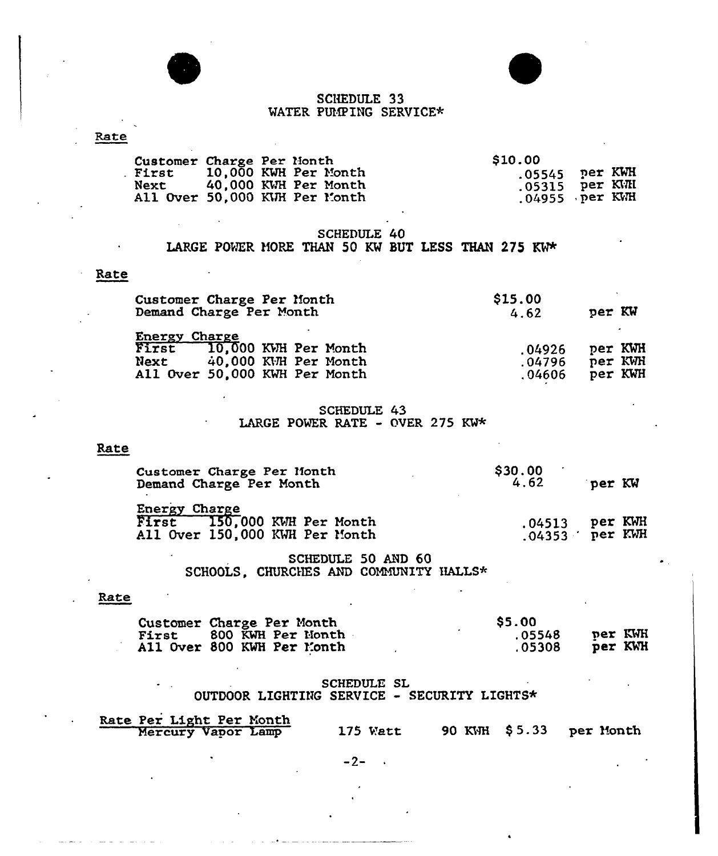



# SCHEDULE 33 WATER PUMPING SERVICE\*

| Rate |                                                                               |                                                   |  |             |  |         |                            |                               |  |
|------|-------------------------------------------------------------------------------|---------------------------------------------------|--|-------------|--|---------|----------------------------|-------------------------------|--|
|      | Customer Charge Per Month<br>. First<br>Next<br>All Over 50,000 KWH Per Month | 10,000 KWH Per Month<br>40,000 KWH Per Month      |  |             |  | \$10.00 | .05545<br>.05315<br>.04955 | per KWH<br>per KWH<br>per KWH |  |
|      |                                                                               | LARGE POWER MORE THAN 50 KW BUT LESS THAN 275 KW* |  | SCHEDULE 40 |  |         |                            |                               |  |

## Rate

| Customer Charge Per Month<br>Demand Charge Per Month                                                         | \$15.00<br>4.62            | per KW                        |
|--------------------------------------------------------------------------------------------------------------|----------------------------|-------------------------------|
| Energy Charge<br>First 10,000 KWH Per Month<br>40.000 KWH Per Month<br>Next<br>All Over 50,000 KWH Per Month | .04926<br>.04796<br>.04606 | per KWH<br>per KWH<br>per KWH |

# SCHEDULE 43<br>LARGE POWER RATE - OVER 275 KW\*

# Rate

| Customer Charge Per Month<br>Demand Charge Per Month                           | \$30.00<br>4.62                      | per KW |  |
|--------------------------------------------------------------------------------|--------------------------------------|--------|--|
| Energy Charge<br>First 150,000 KWH Per Month<br>All Over 150,000 KWH Per Month | $.04513$ per KWH<br>$.04353$ per KWH |        |  |

# SCHEDULE 50 AND 60 SCHOOLS, CHURCHES AND COMMUNITY HALLS\*

# Rate

| Customer Charge Per Month  | <b>SS.00</b> |         |
|----------------------------|--------------|---------|
| First 800 KWH Per Month    | .05548       | per KWH |
| All Over 800 KWH Per Month | .05308       | per KWH |

# SCHEDULE SL OUTDOOR LIGHTING SERVICE - SECURITY LIGHTS\*

| Rate Per Light Per Month<br>Mercury Vapor Lamp |          |  |                         |
|------------------------------------------------|----------|--|-------------------------|
|                                                | 175 Watt |  | 90 KWH \$5.33 per Month |

 $-2-$